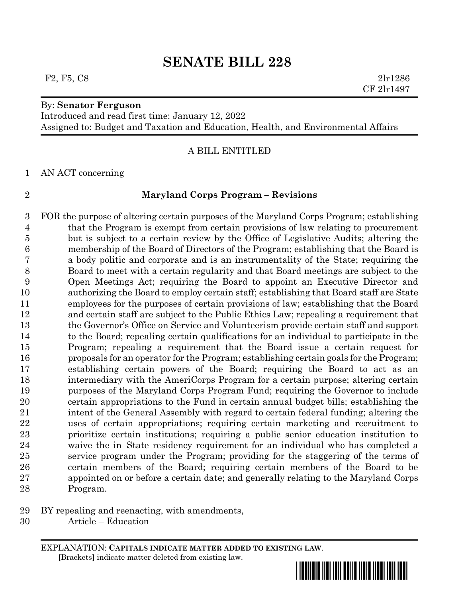F2, F5, C8 2lr1286

## By: **Senator Ferguson**

Introduced and read first time: January 12, 2022

Assigned to: Budget and Taxation and Education, Health, and Environmental Affairs

# A BILL ENTITLED

AN ACT concerning

## **Maryland Corps Program – Revisions**

 FOR the purpose of altering certain purposes of the Maryland Corps Program; establishing that the Program is exempt from certain provisions of law relating to procurement but is subject to a certain review by the Office of Legislative Audits; altering the membership of the Board of Directors of the Program; establishing that the Board is a body politic and corporate and is an instrumentality of the State; requiring the Board to meet with a certain regularity and that Board meetings are subject to the Open Meetings Act; requiring the Board to appoint an Executive Director and authorizing the Board to employ certain staff; establishing that Board staff are State employees for the purposes of certain provisions of law; establishing that the Board and certain staff are subject to the Public Ethics Law; repealing a requirement that the Governor's Office on Service and Volunteerism provide certain staff and support to the Board; repealing certain qualifications for an individual to participate in the Program; repealing a requirement that the Board issue a certain request for proposals for an operator for the Program; establishing certain goals for the Program; establishing certain powers of the Board; requiring the Board to act as an intermediary with the AmeriCorps Program for a certain purpose; altering certain purposes of the Maryland Corps Program Fund; requiring the Governor to include certain appropriations to the Fund in certain annual budget bills; establishing the intent of the General Assembly with regard to certain federal funding; altering the uses of certain appropriations; requiring certain marketing and recruitment to prioritize certain institutions; requiring a public senior education institution to waive the in–State residency requirement for an individual who has completed a service program under the Program; providing for the staggering of the terms of certain members of the Board; requiring certain members of the Board to be appointed on or before a certain date; and generally relating to the Maryland Corps Program.

- BY repealing and reenacting, with amendments,
- Article Education

EXPLANATION: **CAPITALS INDICATE MATTER ADDED TO EXISTING LAW**.  **[**Brackets**]** indicate matter deleted from existing law.

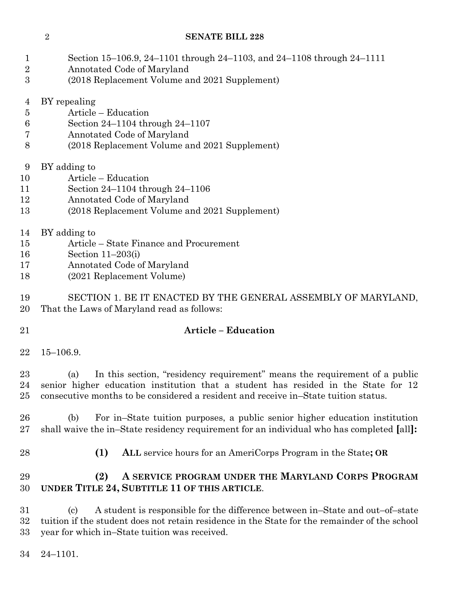| $\mathbf{1}$<br>$\overline{2}$<br>3 | Section 15–106.9, 24–1101 through 24–1103, and 24–1108 through 24–1111<br>Annotated Code of Maryland<br>(2018 Replacement Volume and 2021 Supplement) |
|-------------------------------------|-------------------------------------------------------------------------------------------------------------------------------------------------------|
|                                     |                                                                                                                                                       |
| 4                                   | BY repealing                                                                                                                                          |
| $\overline{5}$                      | Article – Education                                                                                                                                   |
| 6                                   | Section $24-1104$ through $24-1107$                                                                                                                   |
| 7                                   | Annotated Code of Maryland                                                                                                                            |
| 8                                   | (2018 Replacement Volume and 2021 Supplement)                                                                                                         |
| 9                                   | BY adding to                                                                                                                                          |
| 10                                  | Article - Education                                                                                                                                   |
| 11                                  | Section 24–1104 through 24–1106                                                                                                                       |
| 12                                  | Annotated Code of Maryland                                                                                                                            |
| 13                                  | (2018 Replacement Volume and 2021 Supplement)                                                                                                         |
| 14                                  | BY adding to                                                                                                                                          |
| 15                                  | Article – State Finance and Procurement                                                                                                               |
| 16                                  | Section $11-203(i)$                                                                                                                                   |
| 17                                  | Annotated Code of Maryland                                                                                                                            |
| 18                                  | (2021 Replacement Volume)                                                                                                                             |
| 19                                  | SECTION 1. BE IT ENACTED BY THE GENERAL ASSEMBLY OF MARYLAND,                                                                                         |
| 20                                  | That the Laws of Maryland read as follows:                                                                                                            |
| 21                                  | <b>Article - Education</b>                                                                                                                            |

15–106.9.

 (a) In this section, "residency requirement" means the requirement of a public senior higher education institution that a student has resided in the State for 12 consecutive months to be considered a resident and receive in–State tuition status.

- (b) For in–State tuition purposes, a public senior higher education institution shall waive the in–State residency requirement for an individual who has completed **[**all**]:**
- 

**(1) ALL** service hours for an AmeriCorps Program in the State**; OR**

# **(2) A SERVICE PROGRAM UNDER THE MARYLAND CORPS PROGRAM UNDER TITLE 24, SUBTITLE 11 OF THIS ARTICLE**.

 (c) A student is responsible for the difference between in–State and out–of–state tuition if the student does not retain residence in the State for the remainder of the school year for which in–State tuition was received.

24–1101.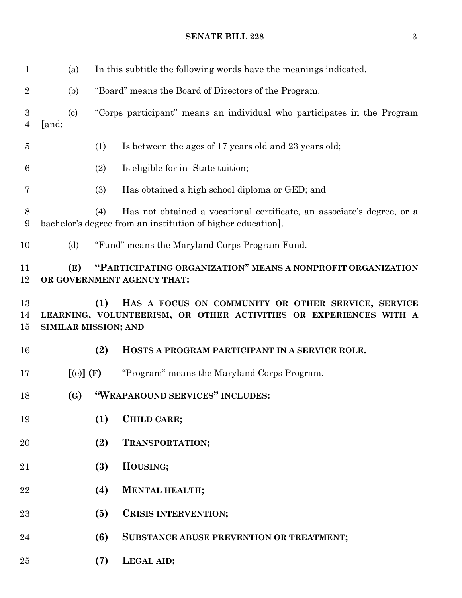(a) In this subtitle the following words have the meanings indicated. (b) "Board" means the Board of Directors of the Program. (c) "Corps participant" means an individual who participates in the Program **[**and: (1) Is between the ages of 17 years old and 23 years old; (2) Is eligible for in–State tuition; (3) Has obtained a high school diploma or GED; and (4) Has not obtained a vocational certificate, an associate's degree, or a bachelor's degree from an institution of higher education**]**. (d) "Fund" means the Maryland Corps Program Fund. **(E) "PARTICIPATING ORGANIZATION" MEANS A NONPROFIT ORGANIZATION OR GOVERNMENT AGENCY THAT: (1) HAS A FOCUS ON COMMUNITY OR OTHER SERVICE, SERVICE LEARNING, VOLUNTEERISM, OR OTHER ACTIVITIES OR EXPERIENCES WITH A SIMILAR MISSION; AND (2) HOSTS A PROGRAM PARTICIPANT IN A SERVICE ROLE. [**(e)**] (F)** "Program" means the Maryland Corps Program. **(G) "WRAPAROUND SERVICES" INCLUDES: (1) CHILD CARE; (2) TRANSPORTATION; (3) HOUSING; (4) MENTAL HEALTH; (5) CRISIS INTERVENTION; (6) SUBSTANCE ABUSE PREVENTION OR TREATMENT; (7) LEGAL AID;**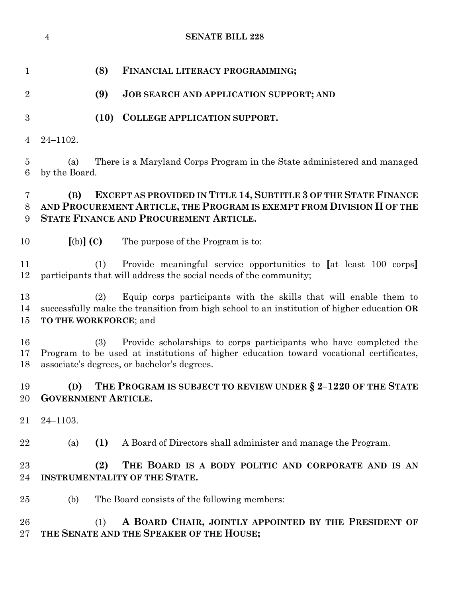|                     | $\overline{4}$                    |      | <b>SENATE BILL 228</b>                                                                                                                                                                                     |
|---------------------|-----------------------------------|------|------------------------------------------------------------------------------------------------------------------------------------------------------------------------------------------------------------|
| $\mathbf{1}$        |                                   | (8)  | FINANCIAL LITERACY PROGRAMMING;                                                                                                                                                                            |
| $\overline{2}$      |                                   | (9)  | <b>JOB SEARCH AND APPLICATION SUPPORT; AND</b>                                                                                                                                                             |
| 3                   |                                   | (10) | <b>COLLEGE APPLICATION SUPPORT.</b>                                                                                                                                                                        |
| 4                   | $24 - 1102.$                      |      |                                                                                                                                                                                                            |
| $\overline{5}$<br>6 | (a)<br>by the Board.              |      | There is a Maryland Corps Program in the State administered and managed                                                                                                                                    |
| 7<br>8<br>9         | (B)                               |      | EXCEPT AS PROVIDED IN TITLE 14, SUBTITLE 3 OF THE STATE FINANCE<br>AND PROCUREMENT ARTICLE, THE PROGRAM IS EXEMPT FROM DIVISION II OF THE<br>STATE FINANCE AND PROCUREMENT ARTICLE.                        |
| 10                  | $[(b)]$ $(C)$                     |      | The purpose of the Program is to:                                                                                                                                                                          |
| 11<br>12            |                                   | (1)  | Provide meaningful service opportunities to [at least 100 corps]<br>participants that will address the social needs of the community;                                                                      |
| 13<br>14<br>15      | TO THE WORKFORCE; and             | (2)  | Equip corps participants with the skills that will enable them to<br>successfully make the transition from high school to an institution of higher education OR                                            |
| 16<br>17<br>18      |                                   | (3)  | Provide scholarships to corps participants who have completed the<br>Program to be used at institutions of higher education toward vocational certificates,<br>associate's degrees, or bachelor's degrees. |
| 19<br>20            | (D)<br><b>GOVERNMENT ARTICLE.</b> |      | THE PROGRAM IS SUBJECT TO REVIEW UNDER § 2-1220 OF THE STATE                                                                                                                                               |
| 21                  | $24 - 1103.$                      |      |                                                                                                                                                                                                            |
| 22                  | (a)                               | (1)  | A Board of Directors shall administer and manage the Program.                                                                                                                                              |
| 23<br>24            |                                   | (2)  | THE BOARD IS A BODY POLITIC AND CORPORATE AND IS AN<br><b>INSTRUMENTALITY OF THE STATE.</b>                                                                                                                |
| 25                  | (b)                               |      | The Board consists of the following members:                                                                                                                                                               |
| 26<br>27            |                                   | (1)  | A BOARD CHAIR, JOINTLY APPOINTED BY THE PRESIDENT OF<br>THE SENATE AND THE SPEAKER OF THE HOUSE;                                                                                                           |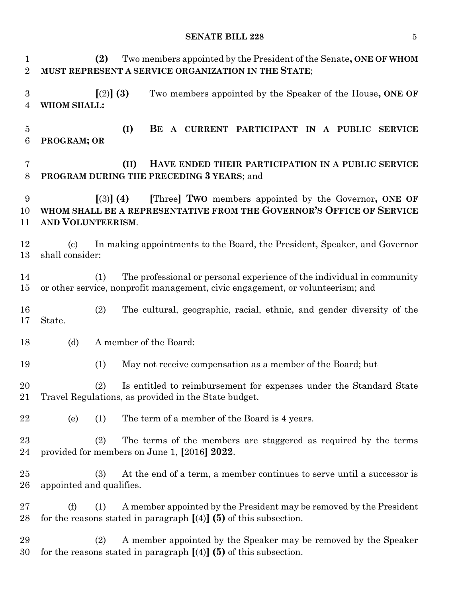**(2)** Two members appointed by the President of the Senate**, ONE OF WHOM MUST REPRESENT A SERVICE ORGANIZATION IN THE STATE**; **[**(2)**] (3)** Two members appointed by the Speaker of the House**, ONE OF WHOM SHALL: (I) BE A CURRENT PARTICIPANT IN A PUBLIC SERVICE PROGRAM; OR (II) HAVE ENDED THEIR PARTICIPATION IN A PUBLIC SERVICE PROGRAM DURING THE PRECEDING 3 YEARS**; and **[**(3)**] (4) [**Three**] TWO** members appointed by the Governor**, ONE OF WHOM SHALL BE A REPRESENTATIVE FROM THE GOVERNOR'S OFFICE OF SERVICE AND VOLUNTEERISM**. (c) In making appointments to the Board, the President, Speaker, and Governor shall consider: (1) The professional or personal experience of the individual in community or other service, nonprofit management, civic engagement, or volunteerism; and (2) The cultural, geographic, racial, ethnic, and gender diversity of the State. (d) A member of the Board: (1) May not receive compensation as a member of the Board; but (2) Is entitled to reimbursement for expenses under the Standard State Travel Regulations, as provided in the State budget. (e) (1) The term of a member of the Board is 4 years. (2) The terms of the members are staggered as required by the terms provided for members on June 1, **[**2016**] 2022**. (3) At the end of a term, a member continues to serve until a successor is appointed and qualifies. (f) (1) A member appointed by the President may be removed by the President for the reasons stated in paragraph **[**(4)**] (5)** of this subsection. (2) A member appointed by the Speaker may be removed by the Speaker

for the reasons stated in paragraph **[**(4)**] (5)** of this subsection.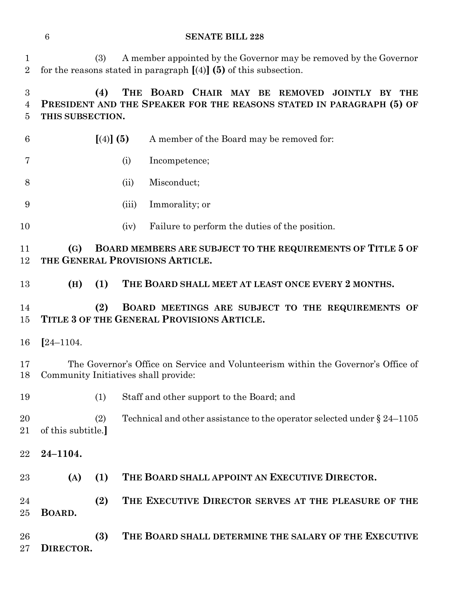|                                | $\boldsymbol{6}$                     |           | <b>SENATE BILL 228</b>                                                                                                                   |
|--------------------------------|--------------------------------------|-----------|------------------------------------------------------------------------------------------------------------------------------------------|
| $\mathbf{1}$<br>$\overline{2}$ |                                      | (3)       | A member appointed by the Governor may be removed by the Governor<br>for the reasons stated in paragraph $[(4)]$ (5) of this subsection. |
| $\boldsymbol{3}$<br>4<br>5     | THIS SUBSECTION.                     | (4)       | THE BOARD CHAIR MAY BE REMOVED<br>JOINTLY BY THE<br>PRESIDENT AND THE SPEAKER FOR THE REASONS STATED IN PARAGRAPH (5) OF                 |
| 6                              |                                      | [(4)] (5) | A member of the Board may be removed for:                                                                                                |
| 7                              |                                      | (i)       | Incompetence;                                                                                                                            |
| 8                              |                                      | (ii)      | Misconduct;                                                                                                                              |
| 9                              |                                      | (iii)     | Immorality; or                                                                                                                           |
| 10                             |                                      | (iv)      | Failure to perform the duties of the position.                                                                                           |
| 11<br>12                       | (G)                                  |           | BOARD MEMBERS ARE SUBJECT TO THE REQUIREMENTS OF TITLE 5 OF<br>THE GENERAL PROVISIONS ARTICLE.                                           |
| 13                             | (H)                                  | (1)       | THE BOARD SHALL MEET AT LEAST ONCE EVERY 2 MONTHS.                                                                                       |
| 14<br>15                       |                                      | (2)       | BOARD MEETINGS ARE SUBJECT TO THE REQUIREMENTS OF<br>TITLE 3 OF THE GENERAL PROVISIONS ARTICLE.                                          |
|                                |                                      |           |                                                                                                                                          |
| 16                             | $[24 - 1104.$                        |           |                                                                                                                                          |
| 17<br>18                       | Community Initiatives shall provide: |           | The Governor's Office on Service and Volunteerism within the Governor's Office of                                                        |
| 19                             |                                      | (1)       | Staff and other support to the Board; and                                                                                                |
| <b>20</b><br>21                | of this subtitle.]                   | (2)       | Technical and other assistance to the operator selected under $\S 24-1105$                                                               |
|                                | $24 - 1104.$                         |           |                                                                                                                                          |
| 22<br>23                       | (A)                                  | (1)       | THE BOARD SHALL APPOINT AN EXECUTIVE DIRECTOR.                                                                                           |
| 24<br>25                       | BOARD.                               | (2)       | THE EXECUTIVE DIRECTOR SERVES AT THE PLEASURE OF THE                                                                                     |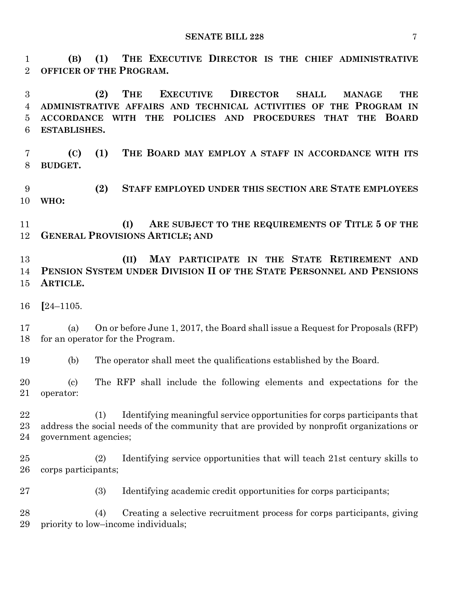**(B) (1) THE EXECUTIVE DIRECTOR IS THE CHIEF ADMINISTRATIVE OFFICER OF THE PROGRAM.**

 **(2) THE EXECUTIVE DIRECTOR SHALL MANAGE THE ADMINISTRATIVE AFFAIRS AND TECHNICAL ACTIVITIES OF THE PROGRAM IN ACCORDANCE WITH THE POLICIES AND PROCEDURES THAT THE BOARD ESTABLISHES.**

 **(C) (1) THE BOARD MAY EMPLOY A STAFF IN ACCORDANCE WITH ITS BUDGET.**

 **(2) STAFF EMPLOYED UNDER THIS SECTION ARE STATE EMPLOYEES WHO:**

 **(I) ARE SUBJECT TO THE REQUIREMENTS OF TITLE 5 OF THE GENERAL PROVISIONS ARTICLE; AND**

 **(II) MAY PARTICIPATE IN THE STATE RETIREMENT AND PENSION SYSTEM UNDER DIVISION II OF THE STATE PERSONNEL AND PENSIONS ARTICLE.**

**[**24–1105.

 (a) On or before June 1, 2017, the Board shall issue a Request for Proposals (RFP) for an operator for the Program.

(b) The operator shall meet the qualifications established by the Board.

 (c) The RFP shall include the following elements and expectations for the operator:

 (1) Identifying meaningful service opportunities for corps participants that address the social needs of the community that are provided by nonprofit organizations or government agencies;

 (2) Identifying service opportunities that will teach 21st century skills to corps participants;

(3) Identifying academic credit opportunities for corps participants;

 (4) Creating a selective recruitment process for corps participants, giving priority to low–income individuals;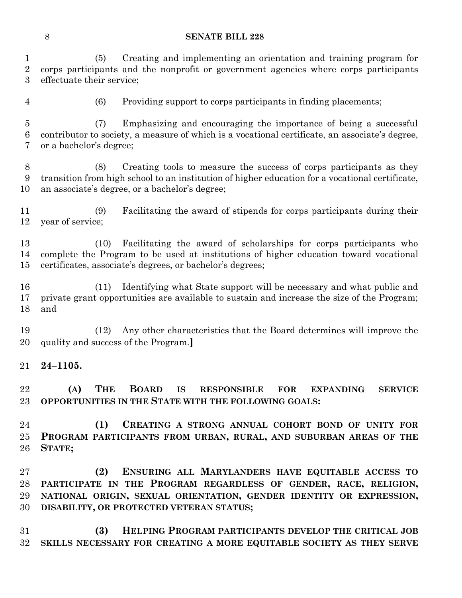(5) Creating and implementing an orientation and training program for corps participants and the nonprofit or government agencies where corps participants effectuate their service;

(6) Providing support to corps participants in finding placements;

 (7) Emphasizing and encouraging the importance of being a successful contributor to society, a measure of which is a vocational certificate, an associate's degree, or a bachelor's degree;

 (8) Creating tools to measure the success of corps participants as they transition from high school to an institution of higher education for a vocational certificate, an associate's degree, or a bachelor's degree;

 (9) Facilitating the award of stipends for corps participants during their year of service;

 (10) Facilitating the award of scholarships for corps participants who complete the Program to be used at institutions of higher education toward vocational certificates, associate's degrees, or bachelor's degrees;

 (11) Identifying what State support will be necessary and what public and private grant opportunities are available to sustain and increase the size of the Program; and

 (12) Any other characteristics that the Board determines will improve the quality and success of the Program.**]**

**24–1105.**

 **(A) THE BOARD IS RESPONSIBLE FOR EXPANDING SERVICE OPPORTUNITIES IN THE STATE WITH THE FOLLOWING GOALS:**

 **(1) CREATING A STRONG ANNUAL COHORT BOND OF UNITY FOR PROGRAM PARTICIPANTS FROM URBAN, RURAL, AND SUBURBAN AREAS OF THE STATE;**

 **(2) ENSURING ALL MARYLANDERS HAVE EQUITABLE ACCESS TO PARTICIPATE IN THE PROGRAM REGARDLESS OF GENDER, RACE, RELIGION, NATIONAL ORIGIN, SEXUAL ORIENTATION, GENDER IDENTITY OR EXPRESSION, DISABILITY, OR PROTECTED VETERAN STATUS;**

 **(3) HELPING PROGRAM PARTICIPANTS DEVELOP THE CRITICAL JOB SKILLS NECESSARY FOR CREATING A MORE EQUITABLE SOCIETY AS THEY SERVE**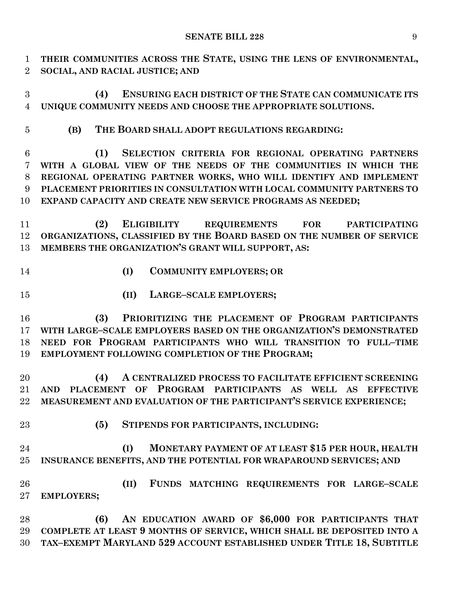**THEIR COMMUNITIES ACROSS THE STATE, USING THE LENS OF ENVIRONMENTAL, SOCIAL, AND RACIAL JUSTICE; AND**

 **(4) ENSURING EACH DISTRICT OF THE STATE CAN COMMUNICATE ITS UNIQUE COMMUNITY NEEDS AND CHOOSE THE APPROPRIATE SOLUTIONS.**

**(B) THE BOARD SHALL ADOPT REGULATIONS REGARDING:**

**(1) SELECTION CRITERIA FOR REGIONAL OPERATING PARTNERS** 

 **WITH A GLOBAL VIEW OF THE NEEDS OF THE COMMUNITIES IN WHICH THE REGIONAL OPERATING PARTNER WORKS, WHO WILL IDENTIFY AND IMPLEMENT PLACEMENT PRIORITIES IN CONSULTATION WITH LOCAL COMMUNITY PARTNERS TO EXPAND CAPACITY AND CREATE NEW SERVICE PROGRAMS AS NEEDED;**

 **(2) ELIGIBILITY REQUIREMENTS FOR PARTICIPATING ORGANIZATIONS, CLASSIFIED BY THE BOARD BASED ON THE NUMBER OF SERVICE MEMBERS THE ORGANIZATION'S GRANT WILL SUPPORT, AS:**

- 
- **(I) COMMUNITY EMPLOYERS; OR**
- **(II) LARGE–SCALE EMPLOYERS;**

 **(3) PRIORITIZING THE PLACEMENT OF PROGRAM PARTICIPANTS WITH LARGE–SCALE EMPLOYERS BASED ON THE ORGANIZATION'S DEMONSTRATED NEED FOR PROGRAM PARTICIPANTS WHO WILL TRANSITION TO FULL–TIME EMPLOYMENT FOLLOWING COMPLETION OF THE PROGRAM;**

 **(4) A CENTRALIZED PROCESS TO FACILITATE EFFICIENT SCREENING AND PLACEMENT OF PROGRAM PARTICIPANTS AS WELL AS EFFECTIVE MEASUREMENT AND EVALUATION OF THE PARTICIPANT'S SERVICE EXPERIENCE;**

- 
- **(5) STIPENDS FOR PARTICIPANTS, INCLUDING:**

 **(I) MONETARY PAYMENT OF AT LEAST \$15 PER HOUR, HEALTH INSURANCE BENEFITS, AND THE POTENTIAL FOR WRAPAROUND SERVICES; AND**

 **(II) FUNDS MATCHING REQUIREMENTS FOR LARGE–SCALE EMPLOYERS;**

 **(6) AN EDUCATION AWARD OF \$6,000 FOR PARTICIPANTS THAT COMPLETE AT LEAST 9 MONTHS OF SERVICE, WHICH SHALL BE DEPOSITED INTO A TAX–EXEMPT MARYLAND 529 ACCOUNT ESTABLISHED UNDER TITLE 18, SUBTITLE**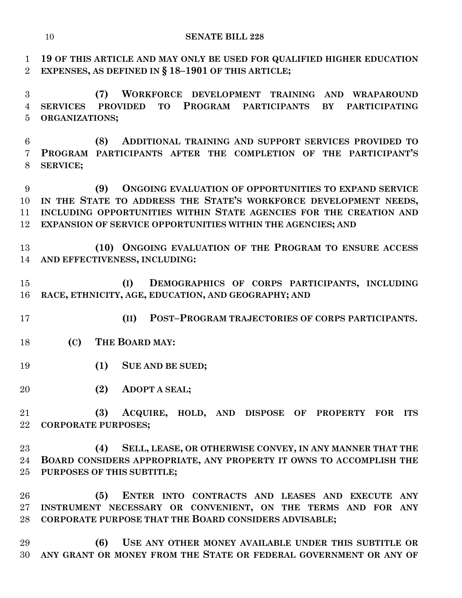**19 OF THIS ARTICLE AND MAY ONLY BE USED FOR QUALIFIED HIGHER EDUCATION EXPENSES, AS DEFINED IN § 18–1901 OF THIS ARTICLE;**

 **(7) WORKFORCE DEVELOPMENT TRAINING AND WRAPAROUND SERVICES PROVIDED TO PROGRAM PARTICIPANTS BY PARTICIPATING ORGANIZATIONS;**

 **(8) ADDITIONAL TRAINING AND SUPPORT SERVICES PROVIDED TO PROGRAM PARTICIPANTS AFTER THE COMPLETION OF THE PARTICIPANT'S SERVICE;**

 **(9) ONGOING EVALUATION OF OPPORTUNITIES TO EXPAND SERVICE IN THE STATE TO ADDRESS THE STATE'S WORKFORCE DEVELOPMENT NEEDS, INCLUDING OPPORTUNITIES WITHIN STATE AGENCIES FOR THE CREATION AND EXPANSION OF SERVICE OPPORTUNITIES WITHIN THE AGENCIES; AND**

 **(10) ONGOING EVALUATION OF THE PROGRAM TO ENSURE ACCESS AND EFFECTIVENESS, INCLUDING:**

 **(I) DEMOGRAPHICS OF CORPS PARTICIPANTS, INCLUDING RACE, ETHNICITY, AGE, EDUCATION, AND GEOGRAPHY; AND** 

- **(II) POST–PROGRAM TRAJECTORIES OF CORPS PARTICIPANTS.**
	- **(C) THE BOARD MAY:**
	- **(1) SUE AND BE SUED;**
	- **(2) ADOPT A SEAL;**

 **(3) ACQUIRE, HOLD, AND DISPOSE OF PROPERTY FOR ITS CORPORATE PURPOSES;**

 **(4) SELL, LEASE, OR OTHERWISE CONVEY, IN ANY MANNER THAT THE BOARD CONSIDERS APPROPRIATE, ANY PROPERTY IT OWNS TO ACCOMPLISH THE PURPOSES OF THIS SUBTITLE;**

 **(5) ENTER INTO CONTRACTS AND LEASES AND EXECUTE ANY INSTRUMENT NECESSARY OR CONVENIENT, ON THE TERMS AND FOR ANY CORPORATE PURPOSE THAT THE BOARD CONSIDERS ADVISABLE;**

 **(6) USE ANY OTHER MONEY AVAILABLE UNDER THIS SUBTITLE OR ANY GRANT OR MONEY FROM THE STATE OR FEDERAL GOVERNMENT OR ANY OF**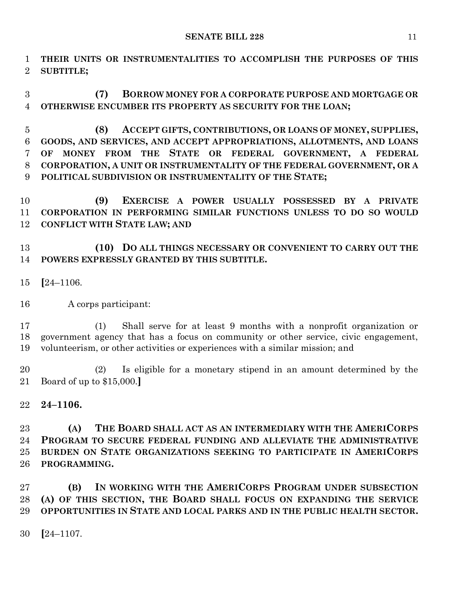**THEIR UNITS OR INSTRUMENTALITIES TO ACCOMPLISH THE PURPOSES OF THIS SUBTITLE;**

 **(7) BORROW MONEY FOR A CORPORATE PURPOSE AND MORTGAGE OR OTHERWISE ENCUMBER ITS PROPERTY AS SECURITY FOR THE LOAN;**

 **(8) ACCEPT GIFTS, CONTRIBUTIONS, OR LOANS OF MONEY, SUPPLIES, GOODS, AND SERVICES, AND ACCEPT APPROPRIATIONS, ALLOTMENTS, AND LOANS OF MONEY FROM THE STATE OR FEDERAL GOVERNMENT, A FEDERAL CORPORATION, A UNIT OR INSTRUMENTALITY OF THE FEDERAL GOVERNMENT, OR A POLITICAL SUBDIVISION OR INSTRUMENTALITY OF THE STATE;**

 **(9) EXERCISE A POWER USUALLY POSSESSED BY A PRIVATE CORPORATION IN PERFORMING SIMILAR FUNCTIONS UNLESS TO DO SO WOULD CONFLICT WITH STATE LAW; AND**

 **(10) DO ALL THINGS NECESSARY OR CONVENIENT TO CARRY OUT THE POWERS EXPRESSLY GRANTED BY THIS SUBTITLE.**

- **[**24–1106.
- A corps participant:

 (1) Shall serve for at least 9 months with a nonprofit organization or government agency that has a focus on community or other service, civic engagement, volunteerism, or other activities or experiences with a similar mission; and

 (2) Is eligible for a monetary stipend in an amount determined by the Board of up to \$15,000.**]**

**24–1106.**

 **(A) THE BOARD SHALL ACT AS AN INTERMEDIARY WITH THE AMERICORPS PROGRAM TO SECURE FEDERAL FUNDING AND ALLEVIATE THE ADMINISTRATIVE BURDEN ON STATE ORGANIZATIONS SEEKING TO PARTICIPATE IN AMERICORPS PROGRAMMING.**

 **(B) IN WORKING WITH THE AMERICORPS PROGRAM UNDER SUBSECTION (A) OF THIS SECTION, THE BOARD SHALL FOCUS ON EXPANDING THE SERVICE OPPORTUNITIES IN STATE AND LOCAL PARKS AND IN THE PUBLIC HEALTH SECTOR.**

**[**24–1107.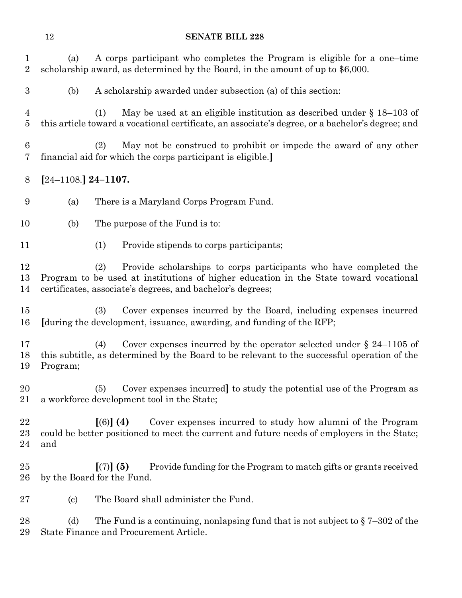| $\mathbf 1$<br>$\overline{2}$ | (a)                       | A corps participant who completes the Program is eligible for a one-time<br>scholarship award, as determined by the Board, in the amount of up to \$6,000.                                                                      |  |  |  |
|-------------------------------|---------------------------|---------------------------------------------------------------------------------------------------------------------------------------------------------------------------------------------------------------------------------|--|--|--|
| $\boldsymbol{3}$              | (b)                       | A scholarship awarded under subsection (a) of this section:                                                                                                                                                                     |  |  |  |
| 4<br>$\overline{5}$           |                           | May be used at an eligible institution as described under $\S 18-103$ of<br>(1)<br>this article toward a vocational certificate, an associate's degree, or a bachelor's degree; and                                             |  |  |  |
| 6<br>7                        |                           | May not be construed to prohibit or impede the award of any other<br>(2)<br>financial aid for which the corps participant is eligible.                                                                                          |  |  |  |
| 8                             | $[24-1108.]$ 24-1107.     |                                                                                                                                                                                                                                 |  |  |  |
| 9                             | (a)                       | There is a Maryland Corps Program Fund.                                                                                                                                                                                         |  |  |  |
| 10                            | (b)                       | The purpose of the Fund is to:                                                                                                                                                                                                  |  |  |  |
| 11                            |                           | (1)<br>Provide stipends to corps participants;                                                                                                                                                                                  |  |  |  |
| 12<br>13<br>14                |                           | Provide scholarships to corps participants who have completed the<br>(2)<br>Program to be used at institutions of higher education in the State toward vocational<br>certificates, associate's degrees, and bachelor's degrees; |  |  |  |
| $15\,$<br>16                  |                           | Cover expenses incurred by the Board, including expenses incurred<br>(3)<br>[during the development, issuance, awarding, and funding of the RFP;                                                                                |  |  |  |
| 17<br>18<br>19                | Program;                  | Cover expenses incurred by the operator selected under $\S$ 24–1105 of<br>(4)<br>this subtitle, as determined by the Board to be relevant to the successful operation of the                                                    |  |  |  |
| 20<br>21                      |                           | (5) Cover expenses incurred to study the potential use of the Program as<br>a workforce development tool in the State;                                                                                                          |  |  |  |
| 22<br>$^{23}$<br>24           | and                       | Cover expenses incurred to study how alumni of the Program<br>$(6)$ (4)<br>could be better positioned to meet the current and future needs of employers in the State;                                                           |  |  |  |
| $25\,$<br>$26\,$              |                           | Provide funding for the Program to match gifts or grants received<br>[(7)] (5)<br>by the Board for the Fund.                                                                                                                    |  |  |  |
| $27\,$                        | $\left( \text{c} \right)$ | The Board shall administer the Fund.                                                                                                                                                                                            |  |  |  |
| 28                            | (d)                       | The Fund is a continuing, nonlapsing fund that is not subject to $\S 7-302$ of the                                                                                                                                              |  |  |  |

State Finance and Procurement Article.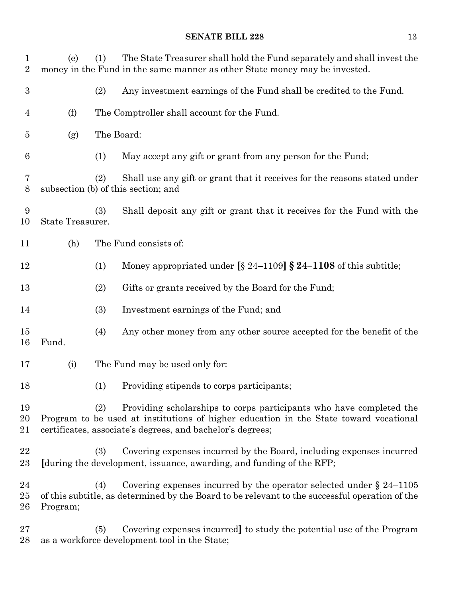| 1<br>$\overline{2}$ | (e)              | The State Treasurer shall hold the Fund separately and shall invest the<br>(1)<br>money in the Fund in the same manner as other State money may be invested.                                                                      |
|---------------------|------------------|-----------------------------------------------------------------------------------------------------------------------------------------------------------------------------------------------------------------------------------|
| $\boldsymbol{3}$    |                  | (2)<br>Any investment earnings of the Fund shall be credited to the Fund.                                                                                                                                                         |
| 4                   | (f)              | The Comptroller shall account for the Fund.                                                                                                                                                                                       |
| 5                   | (g)              | The Board:                                                                                                                                                                                                                        |
| 6                   |                  | May accept any gift or grant from any person for the Fund;<br>(1)                                                                                                                                                                 |
| 7<br>$8\,$          |                  | (2)<br>Shall use any gift or grant that it receives for the reasons stated under<br>subsection (b) of this section; and                                                                                                           |
| 9<br>10             | State Treasurer. | Shall deposit any gift or grant that it receives for the Fund with the<br>(3)                                                                                                                                                     |
| 11                  | (h)              | The Fund consists of:                                                                                                                                                                                                             |
| 12                  |                  | Money appropriated under $\S$ 24–1109] $\S$ 24–1108 of this subtitle;<br>(1)                                                                                                                                                      |
| 13                  |                  | Gifts or grants received by the Board for the Fund;<br>(2)                                                                                                                                                                        |
| 14                  |                  | (3)<br>Investment earnings of the Fund; and                                                                                                                                                                                       |
| 15<br>16            | Fund.            | Any other money from any other source accepted for the benefit of the<br>(4)                                                                                                                                                      |
| 17                  | (i)              | The Fund may be used only for:                                                                                                                                                                                                    |
| 18                  |                  | Providing stipends to corps participants;<br>(1)                                                                                                                                                                                  |
| 19<br>20<br>21      |                  | Providing scholarships to corps participants who have completed the<br>(2)<br>Program to be used at institutions of higher education in the State toward vocational<br>certificates, associate's degrees, and bachelor's degrees; |
| 22<br>23            |                  | Covering expenses incurred by the Board, including expenses incurred<br>(3)<br>[during the development, issuance, awarding, and funding of the RFP;                                                                               |
| 24<br>25<br>26      | Program;         | Covering expenses incurred by the operator selected under $\S 24-1105$<br>(4)<br>of this subtitle, as determined by the Board to be relevant to the successful operation of the                                                   |
| 27<br>28            |                  | Covering expenses incurred to study the potential use of the Program<br>(5)<br>as a workforce development tool in the State;                                                                                                      |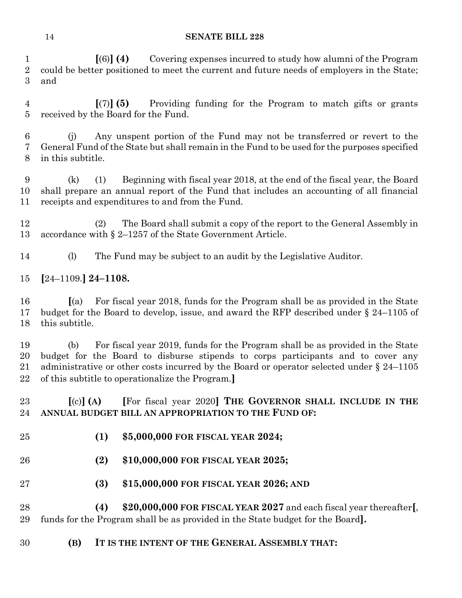**[**(6)**] (4)** Covering expenses incurred to study how alumni of the Program could be better positioned to meet the current and future needs of employers in the State; and

 **[**(7)**] (5)** Providing funding for the Program to match gifts or grants received by the Board for the Fund.

 (j) Any unspent portion of the Fund may not be transferred or revert to the General Fund of the State but shall remain in the Fund to be used for the purposes specified in this subtitle.

 (k) (1) Beginning with fiscal year 2018, at the end of the fiscal year, the Board shall prepare an annual report of the Fund that includes an accounting of all financial receipts and expenditures to and from the Fund.

 (2) The Board shall submit a copy of the report to the General Assembly in accordance with § 2–1257 of the State Government Article.

(l) The Fund may be subject to an audit by the Legislative Auditor.

**[**24–1109.**] 24–1108.**

 **[**(a) For fiscal year 2018, funds for the Program shall be as provided in the State budget for the Board to develop, issue, and award the RFP described under § 24–1105 of this subtitle.

 (b) For fiscal year 2019, funds for the Program shall be as provided in the State budget for the Board to disburse stipends to corps participants and to cover any administrative or other costs incurred by the Board or operator selected under § 24–1105 of this subtitle to operationalize the Program.**]**

# **[**(c)**] (A) [**For fiscal year 2020**] THE GOVERNOR SHALL INCLUDE IN THE ANNUAL BUDGET BILL AN APPROPRIATION TO THE FUND OF:**

- **(1) \$5,000,000 FOR FISCAL YEAR 2024;**
- **(2) \$10,000,000 FOR FISCAL YEAR 2025;**
- **(3) \$15,000,000 FOR FISCAL YEAR 2026; AND**

 **(4) \$20,000,000 FOR FISCAL YEAR 2027** and each fiscal year thereafter**[**, funds for the Program shall be as provided in the State budget for the Board**].**

**(B) IT IS THE INTENT OF THE GENERAL ASSEMBLY THAT:**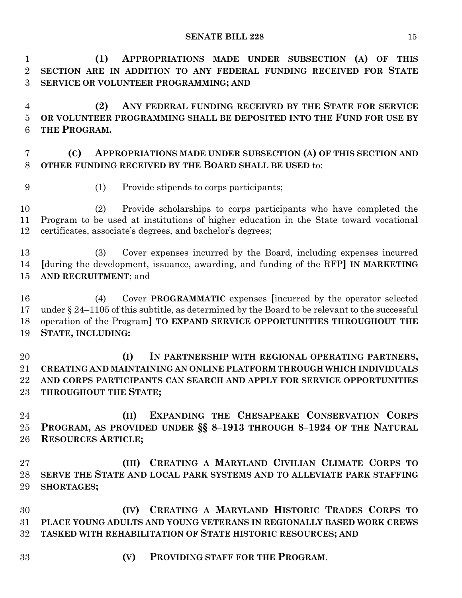**(1) APPROPRIATIONS MADE UNDER SUBSECTION (A) OF THIS SECTION ARE IN ADDITION TO ANY FEDERAL FUNDING RECEIVED FOR STATE SERVICE OR VOLUNTEER PROGRAMMING; AND**

 **(2) ANY FEDERAL FUNDING RECEIVED BY THE STATE FOR SERVICE OR VOLUNTEER PROGRAMMING SHALL BE DEPOSITED INTO THE FUND FOR USE BY THE PROGRAM.**

# **(C) APPROPRIATIONS MADE UNDER SUBSECTION (A) OF THIS SECTION AND OTHER FUNDING RECEIVED BY THE BOARD SHALL BE USED** to:

(1) Provide stipends to corps participants;

 (2) Provide scholarships to corps participants who have completed the Program to be used at institutions of higher education in the State toward vocational certificates, associate's degrees, and bachelor's degrees;

 (3) Cover expenses incurred by the Board, including expenses incurred **[**during the development, issuance, awarding, and funding of the RFP**] IN MARKETING AND RECRUITMENT**; and

 (4) Cover **PROGRAMMATIC** expenses **[**incurred by the operator selected under § 24–1105 of this subtitle, as determined by the Board to be relevant to the successful operation of the Program**] TO EXPAND SERVICE OPPORTUNITIES THROUGHOUT THE STATE, INCLUDING:**

 **(I) IN PARTNERSHIP WITH REGIONAL OPERATING PARTNERS, CREATING AND MAINTAINING AN ONLINE PLATFORM THROUGH WHICH INDIVIDUALS AND CORPS PARTICIPANTS CAN SEARCH AND APPLY FOR SERVICE OPPORTUNITIES THROUGHOUT THE STATE;**

 **(II) EXPANDING THE CHESAPEAKE CONSERVATION CORPS PROGRAM, AS PROVIDED UNDER §§ 8–1913 THROUGH 8–1924 OF THE NATURAL RESOURCES ARTICLE;**

 **(III) CREATING A MARYLAND CIVILIAN CLIMATE CORPS TO SERVE THE STATE AND LOCAL PARK SYSTEMS AND TO ALLEVIATE PARK STAFFING SHORTAGES;**

 **(IV) CREATING A MARYLAND HISTORIC TRADES CORPS TO PLACE YOUNG ADULTS AND YOUNG VETERANS IN REGIONALLY BASED WORK CREWS TASKED WITH REHABILITATION OF STATE HISTORIC RESOURCES; AND**

**(V) PROVIDING STAFF FOR THE PROGRAM**.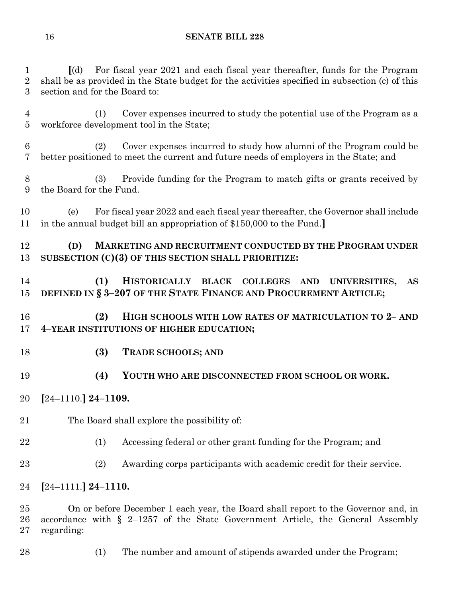**[**(d) For fiscal year 2021 and each fiscal year thereafter, funds for the Program shall be as provided in the State budget for the activities specified in subsection (c) of this section and for the Board to:

 (1) Cover expenses incurred to study the potential use of the Program as a workforce development tool in the State;

 (2) Cover expenses incurred to study how alumni of the Program could be better positioned to meet the current and future needs of employers in the State; and

 (3) Provide funding for the Program to match gifts or grants received by the Board for the Fund.

 (e) For fiscal year 2022 and each fiscal year thereafter, the Governor shall include in the annual budget bill an appropriation of \$150,000 to the Fund.**]**

 **(D) MARKETING AND RECRUITMENT CONDUCTED BY THE PROGRAM UNDER SUBSECTION (C)(3) OF THIS SECTION SHALL PRIORITIZE:**

 **(1) HISTORICALLY BLACK COLLEGES AND UNIVERSITIES, AS DEFINED IN § 3–207 OF THE STATE FINANCE AND PROCUREMENT ARTICLE;**

 **(2) HIGH SCHOOLS WITH LOW RATES OF MATRICULATION TO 2– AND 4–YEAR INSTITUTIONS OF HIGHER EDUCATION;**

- **(3) TRADE SCHOOLS; AND**
- **(4) YOUTH WHO ARE DISCONNECTED FROM SCHOOL OR WORK.**
- **[**24–1110.**] 24–1109.**
- The Board shall explore the possibility of:
- (1) Accessing federal or other grant funding for the Program; and
- (2) Awarding corps participants with academic credit for their service.
- **[**24–1111.**] 24–1110.**

 On or before December 1 each year, the Board shall report to the Governor and, in accordance with § 2–1257 of the State Government Article, the General Assembly regarding:

(1) The number and amount of stipends awarded under the Program;